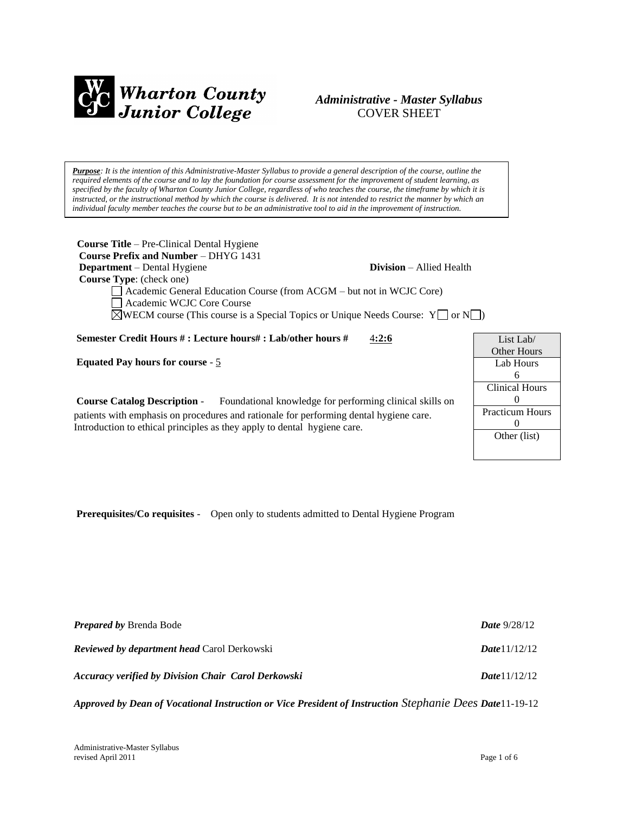

## *Administrative - Master Syllabus*  COVER SHEET

*Purpose: It is the intention of this Administrative-Master Syllabus to provide a general description of the course, outline the required elements of the course and to lay the foundation for course assessment for the improvement of student learning, as specified by the faculty of Wharton County Junior College, regardless of who teaches the course, the timeframe by which it is instructed, or the instructional method by which the course is delivered. It is not intended to restrict the manner by which an individual faculty member teaches the course but to be an administrative tool to aid in the improvement of instruction.*

**Course Title** – Pre-Clinical Dental Hygiene  **Course Prefix and Number** – DHYG 1431 **Department** – Dental Hygiene **Division** – Allied Health  **Course Type**: (check one) Academic General Education Course (from ACGM – but not in WCJC Core) Academic WCJC Core Course  $\boxtimes$ WECM course (This course is a Special Topics or Unique Needs Course: Y or N ) **Semester Credit Hours # : Lecture hours# : Lab/other hours #** 4**:2:6 Equated Pay hours for course** - 5

**Course Catalog Description** - Foundational knowledge for performing clinical skills on patients with emphasis on procedures and rationale for performing dental hygiene care. Introduction to ethical principles as they apply to dental hygiene care.

| List Lab/              |
|------------------------|
| Other Hours            |
| Lab Hours              |
| 6                      |
| Clinical Hours         |
| 0                      |
| <b>Practicum Hours</b> |
| $\mathbf{0}$           |
| Other (list)           |
|                        |

**Prerequisites/Co requisites** - Open only to students admitted to Dental Hygiene Program

| <b>Prepared by Brenda Bode</b>                             | <b>Date</b> $9/28/12$ |
|------------------------------------------------------------|-----------------------|
| <b>Reviewed by department head Carol Derkowski</b>         | <b>Date</b> $1/12/12$ |
| <b>Accuracy verified by Division Chair Carol Derkowski</b> | <b>Date</b> $1/12/12$ |

*Approved by Dean of Vocational Instruction or Vice President of Instruction Stephanie Dees Date*11-19-12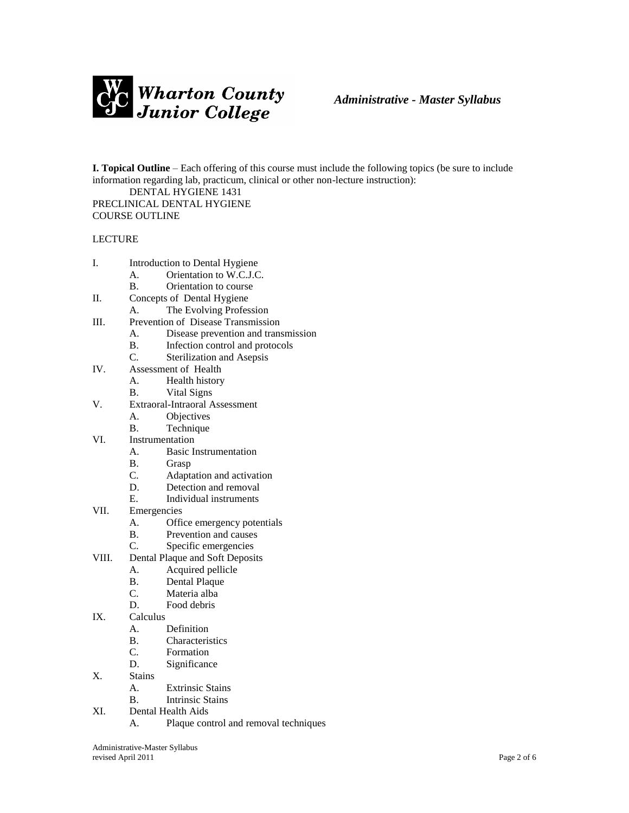

**I. Topical Outline** – Each offering of this course must include the following topics (be sure to include information regarding lab, practicum, clinical or other non-lecture instruction):

DENTAL HYGIENE 1431 PRECLINICAL DENTAL HYGIENE COURSE OUTLINE

## LECTURE

- I. Introduction to Dental Hygiene
	- A. Orientation to W.C.J.C.
	- B. Orientation to course
- II. Concepts of Dental Hygiene
	- A. The Evolving Profession
- III. Prevention of Disease Transmission
	- A. Disease prevention and transmission
	- B. Infection control and protocols
	- C. Sterilization and Asepsis
- IV. Assessment of Health
	- A. Health history
	- B. Vital Signs
- V. Extraoral-Intraoral Assessment
	- A. Objectives
	- B. Technique
- VI. Instrumentation
	- A. Basic Instrumentation
	- B. Grasp<br>C. Adapta
	- Adaptation and activation
	- D. Detection and removal
	- E. Individual instruments
- VII. Emergencies
	- A. Office emergency potentials
	- B. Prevention and causes
	- C. Specific emergencies
- VIII. Dental Plaque and Soft Deposits
	- A. Acquired pellicle
	- B. Dental Plaque
	- C. Materia alba
	- D. Food debris
- IX. Calculus
	- A. Definition
	- B. Characteristics
	- C. Formation
	- D. Significance
- X. Stains
	- A. Extrinsic Stains
	- B. Intrinsic Stains
- XI. Dental Health Aids
	- A. Plaque control and removal techniques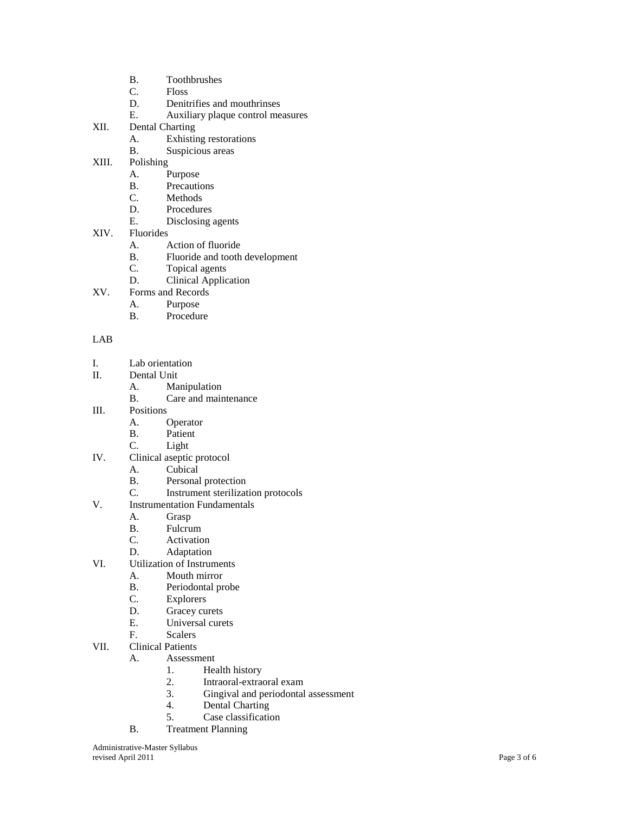- B. Toothbrushes<br>C. Floss
- **Floss**
- D. Denitrifies and mouthrinses
- E. Auxiliary plaque control measures
- XII. Dental Charting
	- A. Exhisting restorations
	- B. Suspicious areas
- XIII. Polishing
	- A. Purpose<br>B. Precaution
	- **Precautions**
	- C. Methods
	- D. Procedures<br>E. Disclosing
	- Disclosing agents
- XIV. Fluorides
	- A. Action of fluoride
	- B. Fluoride and tooth development
	- C. Topical agents
	- D. Clinical Application
- XV. Forms and Records
	- A. Purpose<br>B. Procedui
	- Procedure

## LAB

- I. Lab orientation
- II. Dental Unit
	- A. Manipulation
	- B. Care and maintenance
- III. Positions
	- A. Operator
	- B. Patient
	- C. Light
- IV. Clinical aseptic protocol
	- A. Cubical
	- B. Personal protection
	- C. Instrument sterilization protocols
- V. Instrumentation Fundamentals
	- A. Grasp
	- B. Fulcrum
	- C. Activation
	- D. Adaptation
- VI. Utilization of Instruments
	- A. Mouth mirror<br>B. Periodontal pr
	- Periodontal probe
	- C. Explorers
	- D. Gracey curets<br>E. Universal cure
	- Universal curets
	- F. Scalers
- VII. Clinical Patients

A. Assessment

- 1. Health history
- 2. Intraoral -extraoral exam
- 3. Gingival and periodontal assessment<br>4. Dental Charting
- Dental Charting
- 5. Case classification
- B. Treatment Planning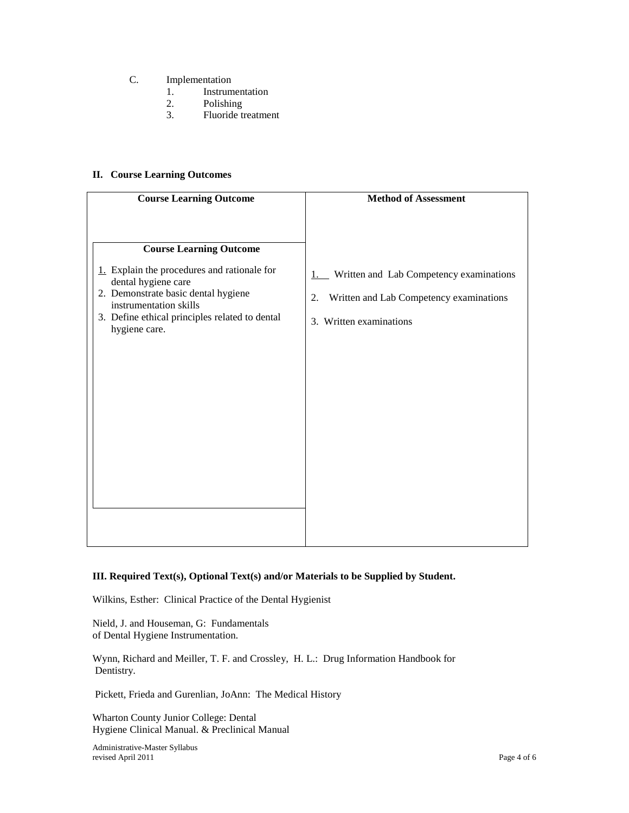- C. Implementation
	- 1. Instrumentation
	- 2. Polishing<br>3. Fluoride t
	- 3. Fluoride treatment

## **II. Course Learning Outcomes**

| <b>Course Learning Outcome</b>                                                                                                                                                                                                           | <b>Method of Assessment</b>                                                                                               |
|------------------------------------------------------------------------------------------------------------------------------------------------------------------------------------------------------------------------------------------|---------------------------------------------------------------------------------------------------------------------------|
| <b>Course Learning Outcome</b><br>1. Explain the procedures and rationale for<br>dental hygiene care<br>2. Demonstrate basic dental hygiene<br>instrumentation skills<br>3. Define ethical principles related to dental<br>hygiene care. | Written and Lab Competency examinations<br>1.<br>Written and Lab Competency examinations<br>2.<br>3. Written examinations |
|                                                                                                                                                                                                                                          |                                                                                                                           |

## **III. Required Text(s), Optional Text(s) and/or Materials to be Supplied by Student.**

Wilkins, Esther: Clinical Practice of the Dental Hygienist

Nield, J. and Houseman, G: Fundamentals of Dental Hygiene Instrumentation.

Wynn, Richard and Meiller, T. F. and Crossley, H. L.: Drug Information Handbook for Dentistry.

Pickett, Frieda and Gurenlian, JoAnn: The Medical History

Wharton County Junior College: Dental Hygiene Clinical Manual. & Preclinical Manual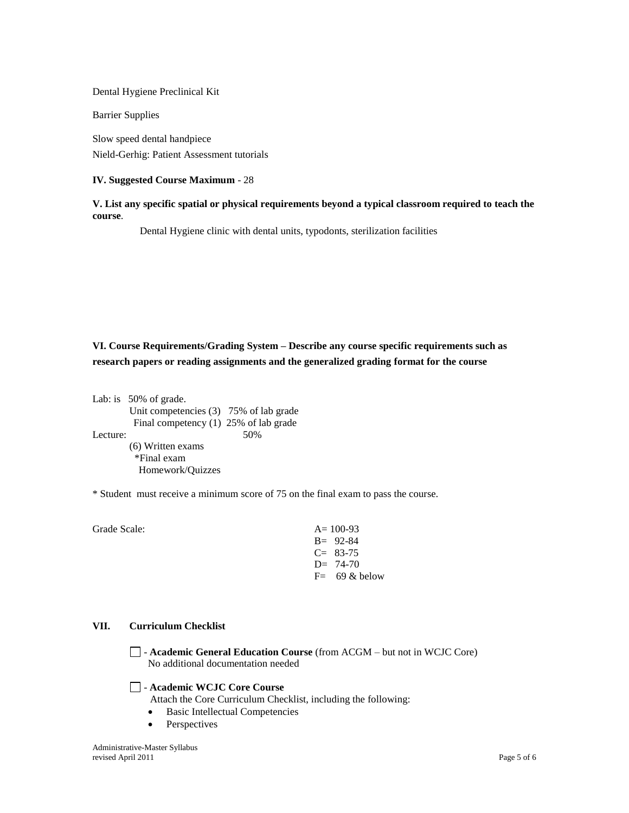Dental Hygiene Preclinical Kit

Barrier Supplies

Slow speed dental handpiece Nield-Gerhig: Patient Assessment tutorials

#### **IV. Suggested Course Maximum** - 28

## **V. List any specific spatial or physical requirements beyond a typical classroom required to teach the course**.

Dental Hygiene clinic with dental units, typodonts, sterilization facilities

**VI. Course Requirements/Grading System – Describe any course specific requirements such as research papers or reading assignments and the generalized grading format for the course**

Lab: is 50% of grade. Unit competencies (3) 75% of lab grade Final competency (1) 25% of lab grade Lecture: 50% (6) Written exams \*Final exam Homework/Quizzes

\* Student must receive a minimum score of 75 on the final exam to pass the course.

Grade Scale:  $A=100-93$ B= 92-84  $C= 83-75$ D= 74-70  $F=$  69 & below

## **VII. Curriculum Checklist**

- **Academic General Education Course** (from ACGM – but not in WCJC Core) No additional documentation needed

#### - **Academic WCJC Core Course**

Attach the Core Curriculum Checklist, including the following:

- Basic Intellectual Competencies
- Perspectives